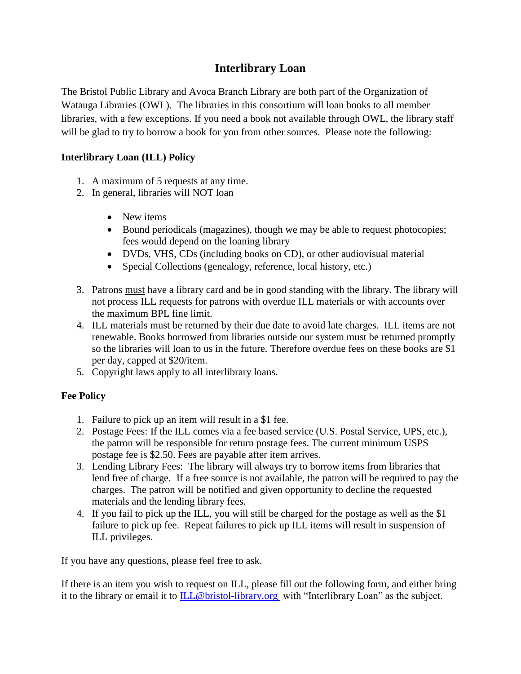## **Interlibrary Loan**

The Bristol Public Library and Avoca Branch Library are both part of the Organization of Watauga Libraries (OWL). The libraries in this consortium will loan books to all member libraries, with a few exceptions. If you need a book not available through OWL, the library staff will be glad to try to borrow a book for you from other sources. Please note the following:

## **Interlibrary Loan (ILL) Policy**

- 1. A maximum of 5 requests at any time.
- 2. In general, libraries will NOT loan
	- New items
	- Bound periodicals (magazines), though we may be able to request photocopies; fees would depend on the loaning library
	- DVDs, VHS, CDs (including books on CD), or other audiovisual material
	- Special Collections (genealogy, reference, local history, etc.)
- 3. Patrons must have a library card and be in good standing with the library. The library will not process ILL requests for patrons with overdue ILL materials or with accounts over the maximum BPL fine limit.
- 4. ILL materials must be returned by their due date to avoid late charges. ILL items are not renewable. Books borrowed from libraries outside our system must be returned promptly so the libraries will loan to us in the future. Therefore overdue fees on these books are \$1 per day, capped at \$20/item.
- 5. Copyright laws apply to all interlibrary loans.

## **Fee Policy**

- 1. Failure to pick up an item will result in a \$1 fee.
- 2. Postage Fees: If the ILL comes via a fee based service (U.S. Postal Service, UPS, etc.), the patron will be responsible for return postage fees. The current minimum USPS postage fee is \$2.50. Fees are payable after item arrives.
- 3. Lending Library Fees: The library will always try to borrow items from libraries that lend free of charge. If a free source is not available, the patron will be required to pay the charges. The patron will be notified and given opportunity to decline the requested materials and the lending library fees.
- 4. If you fail to pick up the ILL, you will still be charged for the postage as well as the \$1 failure to pick up fee. Repeat failures to pick up ILL items will result in suspension of ILL privileges.

If you have any questions, please feel free to ask.

If there is an item you wish to request on ILL, please fill out the following form, and either bring it to the library or email it to [ILL@bristol-library.org](mailto:ILL@bristol-library.org) with "Interlibrary Loan" as the subject.